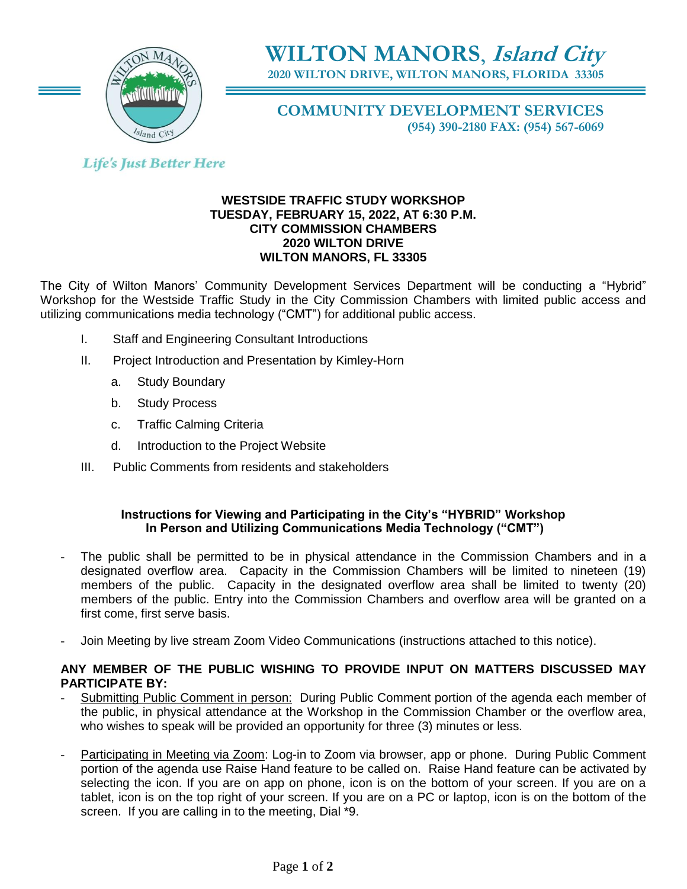

**WILTON MANORS**, **Island City**

**2020 WILTON DRIVE, WILTON MANORS, FLORIDA 33305**

**COMMUNITY DEVELOPMENT SERVICES (954) 390-2180 FAX: (954) 567-6069**

# **Life's Just Better Here**

### **WESTSIDE TRAFFIC STUDY WORKSHOP TUESDAY, FEBRUARY 15, 2022, AT 6:30 P.M. CITY COMMISSION CHAMBERS 2020 WILTON DRIVE WILTON MANORS, FL 33305**

The City of Wilton Manors' Community Development Services Department will be conducting a "Hybrid" Workshop for the Westside Traffic Study in the City Commission Chambers with limited public access and utilizing communications media technology ("CMT") for additional public access.

- I. Staff and Engineering Consultant Introductions
- II. Project Introduction and Presentation by Kimley-Horn
	- a. Study Boundary
	- b. Study Process
	- c. Traffic Calming Criteria
	- d. Introduction to the Project Website
- III. Public Comments from residents and stakeholders

# **Instructions for Viewing and Participating in the City's "HYBRID" Workshop In Person and Utilizing Communications Media Technology ("CMT")**

- The public shall be permitted to be in physical attendance in the Commission Chambers and in a designated overflow area. Capacity in the Commission Chambers will be limited to nineteen (19) members of the public. Capacity in the designated overflow area shall be limited to twenty (20) members of the public. Entry into the Commission Chambers and overflow area will be granted on a first come, first serve basis.
- Join Meeting by live stream Zoom Video Communications (instructions attached to this notice).

## **ANY MEMBER OF THE PUBLIC WISHING TO PROVIDE INPUT ON MATTERS DISCUSSED MAY PARTICIPATE BY:**

- Submitting Public Comment in person: During Public Comment portion of the agenda each member of the public, in physical attendance at the Workshop in the Commission Chamber or the overflow area, who wishes to speak will be provided an opportunity for three (3) minutes or less.
- Participating in Meeting via Zoom: Log-in to Zoom via browser, app or phone. During Public Comment portion of the agenda use Raise Hand feature to be called on. Raise Hand feature can be activated by selecting the icon. If you are on app on phone, icon is on the bottom of your screen. If you are on a tablet, icon is on the top right of your screen. If you are on a PC or laptop, icon is on the bottom of the screen. If you are calling in to the meeting, Dial \*9.